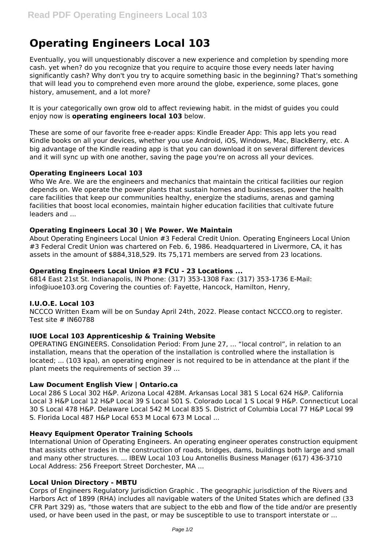# **Operating Engineers Local 103**

Eventually, you will unquestionably discover a new experience and completion by spending more cash. yet when? do you recognize that you require to acquire those every needs later having significantly cash? Why don't you try to acquire something basic in the beginning? That's something that will lead you to comprehend even more around the globe, experience, some places, gone history, amusement, and a lot more?

It is your categorically own grow old to affect reviewing habit. in the midst of guides you could enjoy now is **operating engineers local 103** below.

These are some of our favorite free e-reader apps: Kindle Ereader App: This app lets you read Kindle books on all your devices, whether you use Android, iOS, Windows, Mac, BlackBerry, etc. A big advantage of the Kindle reading app is that you can download it on several different devices and it will sync up with one another, saving the page you're on across all your devices.

## **Operating Engineers Local 103**

Who We Are. We are the engineers and mechanics that maintain the critical facilities our region depends on. We operate the power plants that sustain homes and businesses, power the health care facilities that keep our communities healthy, energize the stadiums, arenas and gaming facilities that boost local economies, maintain higher education facilities that cultivate future leaders and ...

## **Operating Engineers Local 30 | We Power. We Maintain**

About Operating Engineers Local Union #3 Federal Credit Union. Operating Engineers Local Union #3 Federal Credit Union was chartered on Feb. 6, 1986. Headquartered in Livermore, CA, it has assets in the amount of \$884,318,529. Its 75,171 members are served from 23 locations.

# **Operating Engineers Local Union #3 FCU - 23 Locations ...**

6814 East 21st St. Indianapolis, IN Phone: (317) 353-1308 Fax: (317) 353-1736 E-Mail: info@iuoe103.org Covering the counties of: Fayette, Hancock, Hamilton, Henry,

#### **I.U.O.E. Local 103**

NCCCO Written Exam will be on Sunday April 24th, 2022. Please contact NCCCO.org to register. Test site # IN60788

# **IUOE Local 103 Apprenticeship & Training Website**

OPERATING ENGINEERS. Consolidation Period: From June 27, ... "local control", in relation to an installation, means that the operation of the installation is controlled where the installation is located; ... (103 kpa), an operating engineer is not required to be in attendance at the plant if the plant meets the requirements of section 39 ...

#### **Law Document English View | Ontario.ca**

Local 286 S Local 302 H&P. Arizona Local 428M. Arkansas Local 381 S Local 624 H&P. California Local 3 H&P Local 12 H&P Local 39 S Local 501 S. Colorado Local 1 S Local 9 H&P. Connecticut Local 30 S Local 478 H&P. Delaware Local 542 M Local 835 S. District of Columbia Local 77 H&P Local 99 S. Florida Local 487 H&P Local 653 M Local 673 M Local ...

### **Heavy Equipment Operator Training Schools**

International Union of Operating Engineers. An operating engineer operates construction equipment that assists other trades in the construction of roads, bridges, dams, buildings both large and small and many other structures. ... IBEW Local 103 Lou Antonellis Business Manager (617) 436-3710 Local Address: 256 Freeport Street Dorchester, MA ...

#### **Local Union Directory - MBTU**

Corps of Engineers Regulatory Jurisdiction Graphic . The geographic jurisdiction of the Rivers and Harbors Act of 1899 (RHA) includes all navigable waters of the United States which are defined (33 CFR Part 329) as, "those waters that are subject to the ebb and flow of the tide and/or are presently used, or have been used in the past, or may be susceptible to use to transport interstate or ...